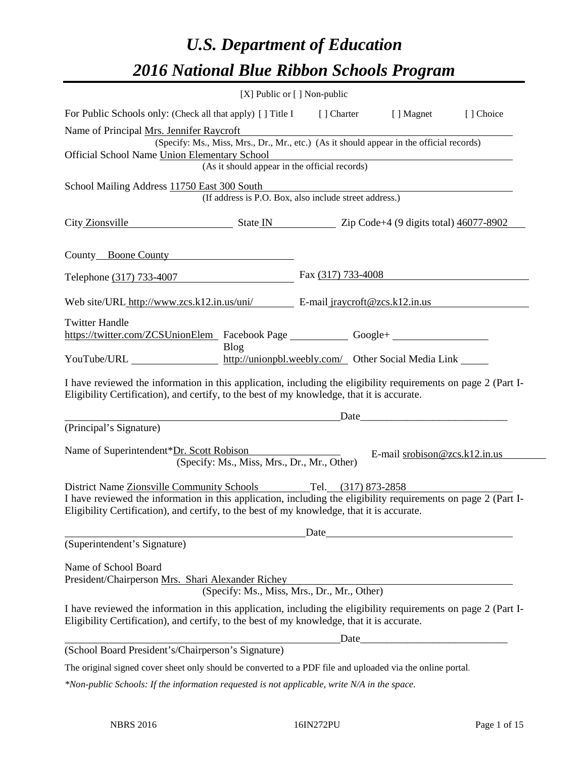# *U.S. Department of Education 2016 National Blue Ribbon Schools Program*

| For Public Schools only: (Check all that apply) [] Title I<br>[] Charter [] Magnet<br>[] Choice<br>(Specify: Ms., Miss, Mrs., Dr., Mr., etc.) (As it should appear in the official records)<br>Official School Name Union Elementary School<br>(As it should appear in the official records)<br>(If address is P.O. Box, also include street address.)<br>City Zionsville State IN Zip Code+4 (9 digits total) 46077-8902<br>County Boone County<br>Fax $(317)$ 733-4008<br>Telephone (317) 733-4007<br>Web site/URL http://www.zcs.k12.in.us/uni/ E-mail jraycroft@zcs.k12.in.us<br>https://twitter.com/ZCSUnionElem Facebook Page Google+<br><b>Blog</b><br>YouTube/URL _____________________ http://unionpbl.weebly.com/ Other Social Media Link ______<br>I have reviewed the information in this application, including the eligibility requirements on page 2 (Part I-<br>Eligibility Certification), and certify, to the best of my knowledge, that it is accurate.<br>Date<br>(Principal's Signature)<br>Name of Superintendent*Dr. Scott Robison<br>E-mail srobison@zcs.k12.in.us<br>(Specify: Ms., Miss, Mrs., Dr., Mr., Other)<br>District Name Zionsville Community Schools Tel. (317) 873-2858<br>I have reviewed the information in this application, including the eligibility requirements on page 2 (Part I-<br>Eligibility Certification), and certify, to the best of my knowledge, that it is accurate.<br>(Superintendent's Signature)<br>President/Chairperson Mrs. Shari Alexander Richey<br>(Specify: Ms., Miss, Mrs., Dr., Mr., Other)<br>I have reviewed the information in this application, including the eligibility requirements on page 2 (Part I-<br>Eligibility Certification), and certify, to the best of my knowledge, that it is accurate.<br>Date_<br>(School Board President's/Chairperson's Signature)<br>The original signed cover sheet only should be converted to a PDF file and uploaded via the online portal. |                                             | [X] Public or [] Non-public |  |
|--------------------------------------------------------------------------------------------------------------------------------------------------------------------------------------------------------------------------------------------------------------------------------------------------------------------------------------------------------------------------------------------------------------------------------------------------------------------------------------------------------------------------------------------------------------------------------------------------------------------------------------------------------------------------------------------------------------------------------------------------------------------------------------------------------------------------------------------------------------------------------------------------------------------------------------------------------------------------------------------------------------------------------------------------------------------------------------------------------------------------------------------------------------------------------------------------------------------------------------------------------------------------------------------------------------------------------------------------------------------------------------------------------------------------------------------------------------------------------------------------------------------------------------------------------------------------------------------------------------------------------------------------------------------------------------------------------------------------------------------------------------------------------------------------------------------------------------------------------------------------------------------------------------------------------------------------------------|---------------------------------------------|-----------------------------|--|
|                                                                                                                                                                                                                                                                                                                                                                                                                                                                                                                                                                                                                                                                                                                                                                                                                                                                                                                                                                                                                                                                                                                                                                                                                                                                                                                                                                                                                                                                                                                                                                                                                                                                                                                                                                                                                                                                                                                                                              |                                             |                             |  |
|                                                                                                                                                                                                                                                                                                                                                                                                                                                                                                                                                                                                                                                                                                                                                                                                                                                                                                                                                                                                                                                                                                                                                                                                                                                                                                                                                                                                                                                                                                                                                                                                                                                                                                                                                                                                                                                                                                                                                              | Name of Principal Mrs. Jennifer Raycroft    |                             |  |
|                                                                                                                                                                                                                                                                                                                                                                                                                                                                                                                                                                                                                                                                                                                                                                                                                                                                                                                                                                                                                                                                                                                                                                                                                                                                                                                                                                                                                                                                                                                                                                                                                                                                                                                                                                                                                                                                                                                                                              |                                             |                             |  |
|                                                                                                                                                                                                                                                                                                                                                                                                                                                                                                                                                                                                                                                                                                                                                                                                                                                                                                                                                                                                                                                                                                                                                                                                                                                                                                                                                                                                                                                                                                                                                                                                                                                                                                                                                                                                                                                                                                                                                              | School Mailing Address 11750 East 300 South |                             |  |
|                                                                                                                                                                                                                                                                                                                                                                                                                                                                                                                                                                                                                                                                                                                                                                                                                                                                                                                                                                                                                                                                                                                                                                                                                                                                                                                                                                                                                                                                                                                                                                                                                                                                                                                                                                                                                                                                                                                                                              |                                             |                             |  |
|                                                                                                                                                                                                                                                                                                                                                                                                                                                                                                                                                                                                                                                                                                                                                                                                                                                                                                                                                                                                                                                                                                                                                                                                                                                                                                                                                                                                                                                                                                                                                                                                                                                                                                                                                                                                                                                                                                                                                              |                                             |                             |  |
|                                                                                                                                                                                                                                                                                                                                                                                                                                                                                                                                                                                                                                                                                                                                                                                                                                                                                                                                                                                                                                                                                                                                                                                                                                                                                                                                                                                                                                                                                                                                                                                                                                                                                                                                                                                                                                                                                                                                                              |                                             |                             |  |
|                                                                                                                                                                                                                                                                                                                                                                                                                                                                                                                                                                                                                                                                                                                                                                                                                                                                                                                                                                                                                                                                                                                                                                                                                                                                                                                                                                                                                                                                                                                                                                                                                                                                                                                                                                                                                                                                                                                                                              |                                             |                             |  |
|                                                                                                                                                                                                                                                                                                                                                                                                                                                                                                                                                                                                                                                                                                                                                                                                                                                                                                                                                                                                                                                                                                                                                                                                                                                                                                                                                                                                                                                                                                                                                                                                                                                                                                                                                                                                                                                                                                                                                              | <b>Twitter Handle</b>                       |                             |  |
|                                                                                                                                                                                                                                                                                                                                                                                                                                                                                                                                                                                                                                                                                                                                                                                                                                                                                                                                                                                                                                                                                                                                                                                                                                                                                                                                                                                                                                                                                                                                                                                                                                                                                                                                                                                                                                                                                                                                                              |                                             |                             |  |
|                                                                                                                                                                                                                                                                                                                                                                                                                                                                                                                                                                                                                                                                                                                                                                                                                                                                                                                                                                                                                                                                                                                                                                                                                                                                                                                                                                                                                                                                                                                                                                                                                                                                                                                                                                                                                                                                                                                                                              |                                             |                             |  |
|                                                                                                                                                                                                                                                                                                                                                                                                                                                                                                                                                                                                                                                                                                                                                                                                                                                                                                                                                                                                                                                                                                                                                                                                                                                                                                                                                                                                                                                                                                                                                                                                                                                                                                                                                                                                                                                                                                                                                              |                                             |                             |  |
|                                                                                                                                                                                                                                                                                                                                                                                                                                                                                                                                                                                                                                                                                                                                                                                                                                                                                                                                                                                                                                                                                                                                                                                                                                                                                                                                                                                                                                                                                                                                                                                                                                                                                                                                                                                                                                                                                                                                                              |                                             |                             |  |
|                                                                                                                                                                                                                                                                                                                                                                                                                                                                                                                                                                                                                                                                                                                                                                                                                                                                                                                                                                                                                                                                                                                                                                                                                                                                                                                                                                                                                                                                                                                                                                                                                                                                                                                                                                                                                                                                                                                                                              |                                             |                             |  |
|                                                                                                                                                                                                                                                                                                                                                                                                                                                                                                                                                                                                                                                                                                                                                                                                                                                                                                                                                                                                                                                                                                                                                                                                                                                                                                                                                                                                                                                                                                                                                                                                                                                                                                                                                                                                                                                                                                                                                              |                                             |                             |  |
|                                                                                                                                                                                                                                                                                                                                                                                                                                                                                                                                                                                                                                                                                                                                                                                                                                                                                                                                                                                                                                                                                                                                                                                                                                                                                                                                                                                                                                                                                                                                                                                                                                                                                                                                                                                                                                                                                                                                                              |                                             |                             |  |
|                                                                                                                                                                                                                                                                                                                                                                                                                                                                                                                                                                                                                                                                                                                                                                                                                                                                                                                                                                                                                                                                                                                                                                                                                                                                                                                                                                                                                                                                                                                                                                                                                                                                                                                                                                                                                                                                                                                                                              | Name of School Board                        |                             |  |
|                                                                                                                                                                                                                                                                                                                                                                                                                                                                                                                                                                                                                                                                                                                                                                                                                                                                                                                                                                                                                                                                                                                                                                                                                                                                                                                                                                                                                                                                                                                                                                                                                                                                                                                                                                                                                                                                                                                                                              |                                             |                             |  |
|                                                                                                                                                                                                                                                                                                                                                                                                                                                                                                                                                                                                                                                                                                                                                                                                                                                                                                                                                                                                                                                                                                                                                                                                                                                                                                                                                                                                                                                                                                                                                                                                                                                                                                                                                                                                                                                                                                                                                              |                                             |                             |  |
|                                                                                                                                                                                                                                                                                                                                                                                                                                                                                                                                                                                                                                                                                                                                                                                                                                                                                                                                                                                                                                                                                                                                                                                                                                                                                                                                                                                                                                                                                                                                                                                                                                                                                                                                                                                                                                                                                                                                                              |                                             |                             |  |
| *Non-public Schools: If the information requested is not applicable, write N/A in the space.                                                                                                                                                                                                                                                                                                                                                                                                                                                                                                                                                                                                                                                                                                                                                                                                                                                                                                                                                                                                                                                                                                                                                                                                                                                                                                                                                                                                                                                                                                                                                                                                                                                                                                                                                                                                                                                                 |                                             |                             |  |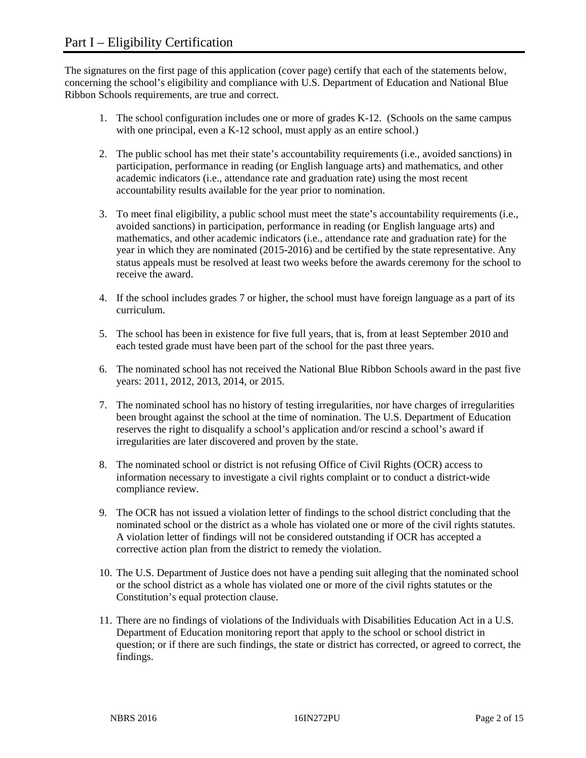The signatures on the first page of this application (cover page) certify that each of the statements below, concerning the school's eligibility and compliance with U.S. Department of Education and National Blue Ribbon Schools requirements, are true and correct.

- 1. The school configuration includes one or more of grades K-12. (Schools on the same campus with one principal, even a K-12 school, must apply as an entire school.)
- 2. The public school has met their state's accountability requirements (i.e., avoided sanctions) in participation, performance in reading (or English language arts) and mathematics, and other academic indicators (i.e., attendance rate and graduation rate) using the most recent accountability results available for the year prior to nomination.
- 3. To meet final eligibility, a public school must meet the state's accountability requirements (i.e., avoided sanctions) in participation, performance in reading (or English language arts) and mathematics, and other academic indicators (i.e., attendance rate and graduation rate) for the year in which they are nominated (2015-2016) and be certified by the state representative. Any status appeals must be resolved at least two weeks before the awards ceremony for the school to receive the award.
- 4. If the school includes grades 7 or higher, the school must have foreign language as a part of its curriculum.
- 5. The school has been in existence for five full years, that is, from at least September 2010 and each tested grade must have been part of the school for the past three years.
- 6. The nominated school has not received the National Blue Ribbon Schools award in the past five years: 2011, 2012, 2013, 2014, or 2015.
- 7. The nominated school has no history of testing irregularities, nor have charges of irregularities been brought against the school at the time of nomination. The U.S. Department of Education reserves the right to disqualify a school's application and/or rescind a school's award if irregularities are later discovered and proven by the state.
- 8. The nominated school or district is not refusing Office of Civil Rights (OCR) access to information necessary to investigate a civil rights complaint or to conduct a district-wide compliance review.
- 9. The OCR has not issued a violation letter of findings to the school district concluding that the nominated school or the district as a whole has violated one or more of the civil rights statutes. A violation letter of findings will not be considered outstanding if OCR has accepted a corrective action plan from the district to remedy the violation.
- 10. The U.S. Department of Justice does not have a pending suit alleging that the nominated school or the school district as a whole has violated one or more of the civil rights statutes or the Constitution's equal protection clause.
- 11. There are no findings of violations of the Individuals with Disabilities Education Act in a U.S. Department of Education monitoring report that apply to the school or school district in question; or if there are such findings, the state or district has corrected, or agreed to correct, the findings.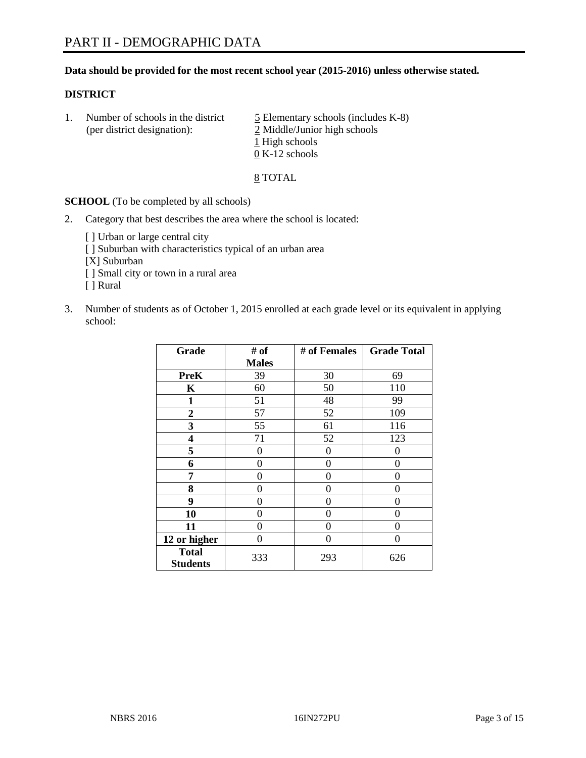## **Data should be provided for the most recent school year (2015-2016) unless otherwise stated.**

## **DISTRICT**

1. Number of schools in the district  $\frac{5}{2}$  Elementary schools (includes K-8) (per district designation): 2 Middle/Junior high schools 1 High schools 0 K-12 schools

8 TOTAL

**SCHOOL** (To be completed by all schools)

- 2. Category that best describes the area where the school is located:
	- [] Urban or large central city [ ] Suburban with characteristics typical of an urban area [X] Suburban [ ] Small city or town in a rural area [ ] Rural
- 3. Number of students as of October 1, 2015 enrolled at each grade level or its equivalent in applying school:

| Grade                           | # of         | # of Females | <b>Grade Total</b> |
|---------------------------------|--------------|--------------|--------------------|
|                                 | <b>Males</b> |              |                    |
| <b>PreK</b>                     | 39           | 30           | 69                 |
| $\mathbf K$                     | 60           | 50           | 110                |
| 1                               | 51           | 48           | 99                 |
| 2                               | 57           | 52           | 109                |
| 3                               | 55           | 61           | 116                |
| 4                               | 71           | 52           | 123                |
| 5                               | 0            | 0            | $\theta$           |
| 6                               | 0            | 0            | $\mathbf{\Omega}$  |
| 7                               | 0            | 0            | 0                  |
| 8                               | 0            | 0            | 0                  |
| 9                               | 0            | 0            | 0                  |
| 10                              | 0            | 0            | 0                  |
| 11                              | 0            | 0            | 0                  |
| 12 or higher                    | 0            | 0            | 0                  |
| <b>Total</b><br><b>Students</b> | 333          | 293          | 626                |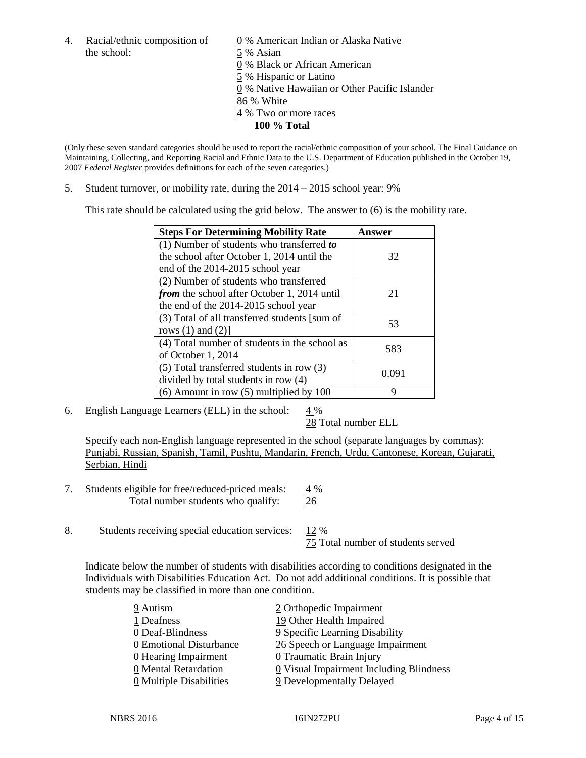4. Racial/ethnic composition of  $\underline{0}$  % American Indian or Alaska Native the school: 5 % Asian

 % Black or African American % Hispanic or Latino % Native Hawaiian or Other Pacific Islander 86 % White % Two or more races **100 % Total**

(Only these seven standard categories should be used to report the racial/ethnic composition of your school. The Final Guidance on Maintaining, Collecting, and Reporting Racial and Ethnic Data to the U.S. Department of Education published in the October 19, 2007 *Federal Register* provides definitions for each of the seven categories.)

5. Student turnover, or mobility rate, during the  $2014 - 2015$  school year:  $9\%$ 

This rate should be calculated using the grid below. The answer to (6) is the mobility rate.

| <b>Steps For Determining Mobility Rate</b>         | Answer |  |
|----------------------------------------------------|--------|--|
| (1) Number of students who transferred to          |        |  |
| the school after October 1, 2014 until the         | 32     |  |
| end of the 2014-2015 school year                   |        |  |
| (2) Number of students who transferred             |        |  |
| <i>from</i> the school after October 1, 2014 until | 21     |  |
| the end of the 2014-2015 school year               |        |  |
| (3) Total of all transferred students [sum of      | 53     |  |
| rows $(1)$ and $(2)$ ]                             |        |  |
| (4) Total number of students in the school as      | 583    |  |
| of October 1, 2014                                 |        |  |
| $(5)$ Total transferred students in row $(3)$      | 0.091  |  |
| divided by total students in row (4)               |        |  |
| $(6)$ Amount in row $(5)$ multiplied by 100        | Q      |  |

6. English Language Learners (ELL) in the school:  $4\%$ 

28 Total number ELL

Specify each non-English language represented in the school (separate languages by commas): Punjabi, Russian, Spanish, Tamil, Pushtu, Mandarin, French, Urdu, Cantonese, Korean, Gujarati, Serbian, Hindi

- 7. Students eligible for free/reduced-priced meals:  $4\%$ Total number students who qualify: 26
- 8. Students receiving special education services: 12 % 75 Total number of students served

Indicate below the number of students with disabilities according to conditions designated in the Individuals with Disabilities Education Act. Do not add additional conditions. It is possible that students may be classified in more than one condition.

| 9 Autism                              | 2 Orthopedic Impairment                   |
|---------------------------------------|-------------------------------------------|
| 1 Deafness                            | 19 Other Health Impaired                  |
| 0 Deaf-Blindness                      | 9 Specific Learning Disability            |
| 0 Emotional Disturbance               | 26 Speech or Language Impairment          |
| 0 Hearing Impairment                  | 0 Traumatic Brain Injury                  |
| 0 Mental Retardation                  | $Q$ Visual Impairment Including Blindness |
| $\underline{0}$ Multiple Disabilities | 9 Developmentally Delayed                 |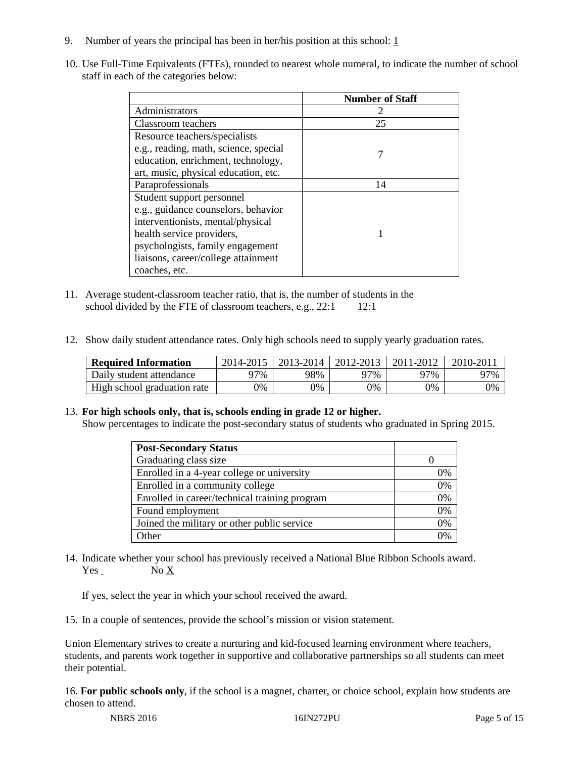- 9. Number of years the principal has been in her/his position at this school:  $1 \overline{1}$
- 10. Use Full-Time Equivalents (FTEs), rounded to nearest whole numeral, to indicate the number of school staff in each of the categories below:

|                                       | <b>Number of Staff</b> |
|---------------------------------------|------------------------|
| Administrators                        |                        |
| Classroom teachers                    | 25                     |
| Resource teachers/specialists         |                        |
| e.g., reading, math, science, special |                        |
| education, enrichment, technology,    |                        |
| art, music, physical education, etc.  |                        |
| Paraprofessionals                     | 14                     |
| Student support personnel             |                        |
| e.g., guidance counselors, behavior   |                        |
| interventionists, mental/physical     |                        |
| health service providers,             |                        |
| psychologists, family engagement      |                        |
| liaisons, career/college attainment   |                        |
| coaches, etc.                         |                        |

- 11. Average student-classroom teacher ratio, that is, the number of students in the school divided by the FTE of classroom teachers, e.g.,  $22:1 \t12:1$
- 12. Show daily student attendance rates. Only high schools need to supply yearly graduation rates.

| <b>Required Information</b> | 2014-2015 | $2013 - 2014$ | 2012-2013 | 2011-2012 | 2010-2011 |
|-----------------------------|-----------|---------------|-----------|-----------|-----------|
| Daily student attendance    | ን7%       | 98%           | 97%       | 97%       | 97%       |
| High school graduation rate | 9%        | $9\%$         | 9%        | 9%        | 0%        |

## 13. **For high schools only, that is, schools ending in grade 12 or higher.**

Show percentages to indicate the post-secondary status of students who graduated in Spring 2015.

| <b>Post-Secondary Status</b>                  |    |
|-----------------------------------------------|----|
| Graduating class size                         |    |
| Enrolled in a 4-year college or university    | 0% |
| Enrolled in a community college               | 0% |
| Enrolled in career/technical training program | 0% |
| Found employment                              | 0% |
| Joined the military or other public service   | 0% |
| Other                                         | 0/ |

14. Indicate whether your school has previously received a National Blue Ribbon Schools award. Yes No X

If yes, select the year in which your school received the award.

15. In a couple of sentences, provide the school's mission or vision statement.

Union Elementary strives to create a nurturing and kid-focused learning environment where teachers, students, and parents work together in supportive and collaborative partnerships so all students can meet their potential.

16. **For public schools only**, if the school is a magnet, charter, or choice school, explain how students are chosen to attend.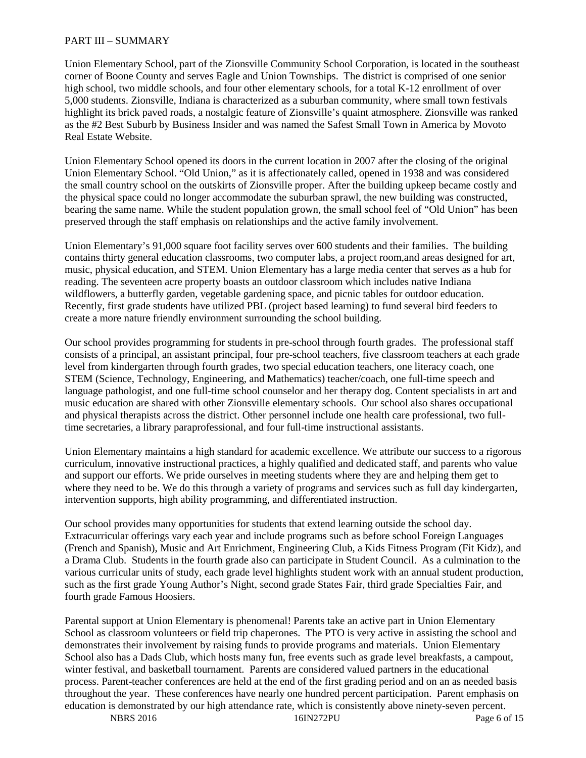## PART III – SUMMARY

Union Elementary School, part of the Zionsville Community School Corporation, is located in the southeast corner of Boone County and serves Eagle and Union Townships. The district is comprised of one senior high school, two middle schools, and four other elementary schools, for a total K-12 enrollment of over 5,000 students. Zionsville, Indiana is characterized as a suburban community, where small town festivals highlight its brick paved roads, a nostalgic feature of Zionsville's quaint atmosphere. Zionsville was ranked as the #2 Best Suburb by Business Insider and was named the Safest Small Town in America by Movoto Real Estate Website.

Union Elementary School opened its doors in the current location in 2007 after the closing of the original Union Elementary School. "Old Union," as it is affectionately called, opened in 1938 and was considered the small country school on the outskirts of Zionsville proper. After the building upkeep became costly and the physical space could no longer accommodate the suburban sprawl, the new building was constructed, bearing the same name. While the student population grown, the small school feel of "Old Union" has been preserved through the staff emphasis on relationships and the active family involvement.

Union Elementary's 91,000 square foot facility serves over 600 students and their families. The building contains thirty general education classrooms, two computer labs, a project room,and areas designed for art, music, physical education, and STEM. Union Elementary has a large media center that serves as a hub for reading. The seventeen acre property boasts an outdoor classroom which includes native Indiana wildflowers, a butterfly garden, vegetable gardening space, and picnic tables for outdoor education. Recently, first grade students have utilized PBL (project based learning) to fund several bird feeders to create a more nature friendly environment surrounding the school building.

Our school provides programming for students in pre-school through fourth grades. The professional staff consists of a principal, an assistant principal, four pre-school teachers, five classroom teachers at each grade level from kindergarten through fourth grades, two special education teachers, one literacy coach, one STEM (Science, Technology, Engineering, and Mathematics) teacher/coach, one full-time speech and language pathologist, and one full-time school counselor and her therapy dog. Content specialists in art and music education are shared with other Zionsville elementary schools. Our school also shares occupational and physical therapists across the district. Other personnel include one health care professional, two fulltime secretaries, a library paraprofessional, and four full-time instructional assistants.

Union Elementary maintains a high standard for academic excellence. We attribute our success to a rigorous curriculum, innovative instructional practices, a highly qualified and dedicated staff, and parents who value and support our efforts. We pride ourselves in meeting students where they are and helping them get to where they need to be. We do this through a variety of programs and services such as full day kindergarten, intervention supports, high ability programming, and differentiated instruction.

Our school provides many opportunities for students that extend learning outside the school day. Extracurricular offerings vary each year and include programs such as before school Foreign Languages (French and Spanish), Music and Art Enrichment, Engineering Club, a Kids Fitness Program (Fit Kidz), and a Drama Club. Students in the fourth grade also can participate in Student Council. As a culmination to the various curricular units of study, each grade level highlights student work with an annual student production, such as the first grade Young Author's Night, second grade States Fair, third grade Specialties Fair, and fourth grade Famous Hoosiers.

Parental support at Union Elementary is phenomenal! Parents take an active part in Union Elementary School as classroom volunteers or field trip chaperones. The PTO is very active in assisting the school and demonstrates their involvement by raising funds to provide programs and materials. Union Elementary School also has a Dads Club, which hosts many fun, free events such as grade level breakfasts, a campout, winter festival, and basketball tournament. Parents are considered valued partners in the educational process. Parent-teacher conferences are held at the end of the first grading period and on an as needed basis throughout the year. These conferences have nearly one hundred percent participation. Parent emphasis on education is demonstrated by our high attendance rate, which is consistently above ninety-seven percent.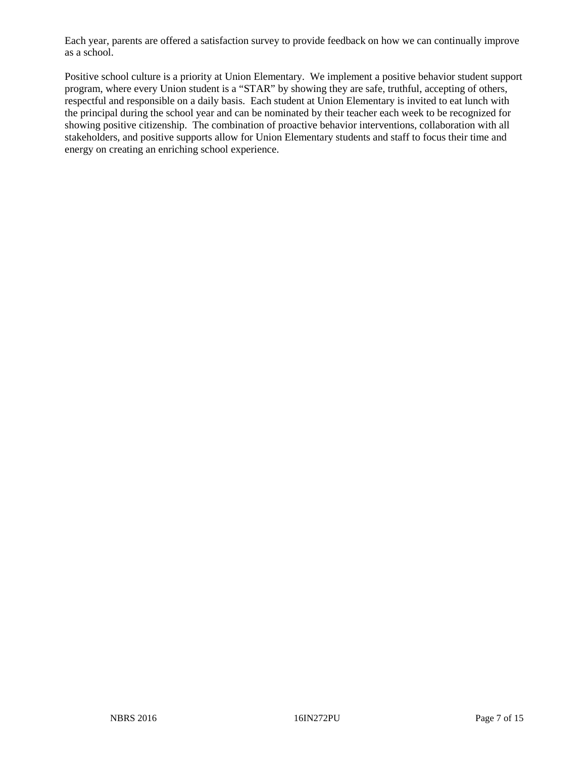Each year, parents are offered a satisfaction survey to provide feedback on how we can continually improve as a school.

Positive school culture is a priority at Union Elementary. We implement a positive behavior student support program, where every Union student is a "STAR" by showing they are safe, truthful, accepting of others, respectful and responsible on a daily basis. Each student at Union Elementary is invited to eat lunch with the principal during the school year and can be nominated by their teacher each week to be recognized for showing positive citizenship. The combination of proactive behavior interventions, collaboration with all stakeholders, and positive supports allow for Union Elementary students and staff to focus their time and energy on creating an enriching school experience.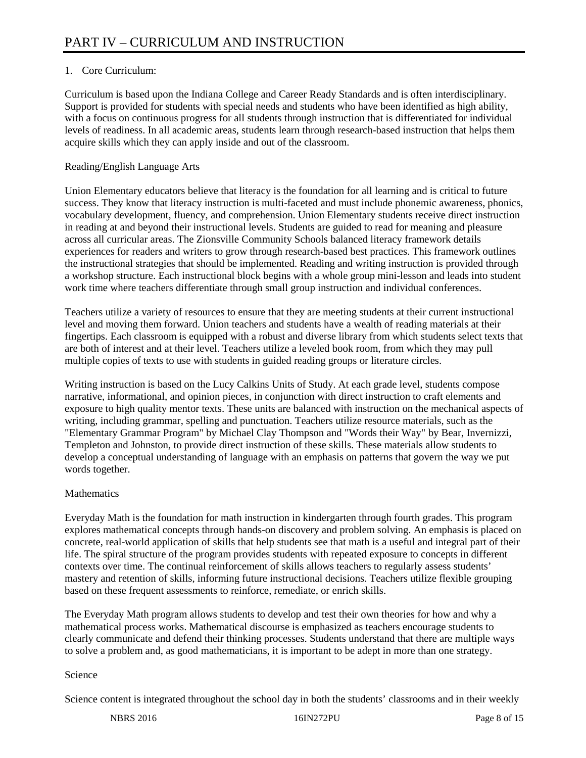# 1. Core Curriculum:

Curriculum is based upon the Indiana College and Career Ready Standards and is often interdisciplinary. Support is provided for students with special needs and students who have been identified as high ability, with a focus on continuous progress for all students through instruction that is differentiated for individual levels of readiness. In all academic areas, students learn through research-based instruction that helps them acquire skills which they can apply inside and out of the classroom.

# Reading/English Language Arts

Union Elementary educators believe that literacy is the foundation for all learning and is critical to future success. They know that literacy instruction is multi-faceted and must include phonemic awareness, phonics, vocabulary development, fluency, and comprehension. Union Elementary students receive direct instruction in reading at and beyond their instructional levels. Students are guided to read for meaning and pleasure across all curricular areas. The Zionsville Community Schools balanced literacy framework details experiences for readers and writers to grow through research-based best practices. This framework outlines the instructional strategies that should be implemented. Reading and writing instruction is provided through a workshop structure. Each instructional block begins with a whole group mini-lesson and leads into student work time where teachers differentiate through small group instruction and individual conferences.

Teachers utilize a variety of resources to ensure that they are meeting students at their current instructional level and moving them forward. Union teachers and students have a wealth of reading materials at their fingertips. Each classroom is equipped with a robust and diverse library from which students select texts that are both of interest and at their level. Teachers utilize a leveled book room, from which they may pull multiple copies of texts to use with students in guided reading groups or literature circles.

Writing instruction is based on the Lucy Calkins Units of Study. At each grade level, students compose narrative, informational, and opinion pieces, in conjunction with direct instruction to craft elements and exposure to high quality mentor texts. These units are balanced with instruction on the mechanical aspects of writing, including grammar, spelling and punctuation. Teachers utilize resource materials, such as the "Elementary Grammar Program" by Michael Clay Thompson and "Words their Way" by Bear, Invernizzi, Templeton and Johnston, to provide direct instruction of these skills. These materials allow students to develop a conceptual understanding of language with an emphasis on patterns that govern the way we put words together.

## **Mathematics**

Everyday Math is the foundation for math instruction in kindergarten through fourth grades. This program explores mathematical concepts through hands-on discovery and problem solving. An emphasis is placed on concrete, real-world application of skills that help students see that math is a useful and integral part of their life. The spiral structure of the program provides students with repeated exposure to concepts in different contexts over time. The continual reinforcement of skills allows teachers to regularly assess students' mastery and retention of skills, informing future instructional decisions. Teachers utilize flexible grouping based on these frequent assessments to reinforce, remediate, or enrich skills.

The Everyday Math program allows students to develop and test their own theories for how and why a mathematical process works. Mathematical discourse is emphasized as teachers encourage students to clearly communicate and defend their thinking processes. Students understand that there are multiple ways to solve a problem and, as good mathematicians, it is important to be adept in more than one strategy.

# Science

Science content is integrated throughout the school day in both the students' classrooms and in their weekly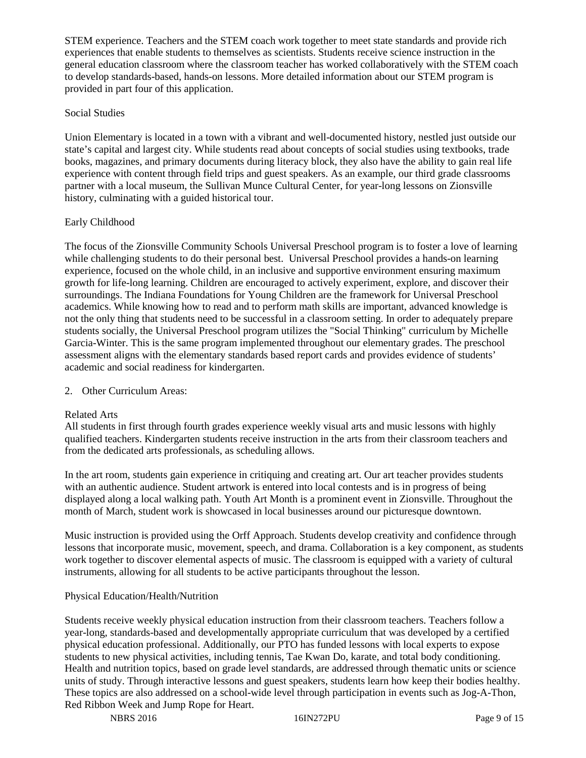STEM experience. Teachers and the STEM coach work together to meet state standards and provide rich experiences that enable students to themselves as scientists. Students receive science instruction in the general education classroom where the classroom teacher has worked collaboratively with the STEM coach to develop standards-based, hands-on lessons. More detailed information about our STEM program is provided in part four of this application.

# Social Studies

Union Elementary is located in a town with a vibrant and well-documented history, nestled just outside our state's capital and largest city. While students read about concepts of social studies using textbooks, trade books, magazines, and primary documents during literacy block, they also have the ability to gain real life experience with content through field trips and guest speakers. As an example, our third grade classrooms partner with a local museum, the Sullivan Munce Cultural Center, for year-long lessons on Zionsville history, culminating with a guided historical tour.

## Early Childhood

The focus of the Zionsville Community Schools Universal Preschool program is to foster a love of learning while challenging students to do their personal best. Universal Preschool provides a hands-on learning experience, focused on the whole child, in an inclusive and supportive environment ensuring maximum growth for life-long learning. Children are encouraged to actively experiment, explore, and discover their surroundings. The Indiana Foundations for Young Children are the framework for Universal Preschool academics. While knowing how to read and to perform math skills are important, advanced knowledge is not the only thing that students need to be successful in a classroom setting. In order to adequately prepare students socially, the Universal Preschool program utilizes the "Social Thinking" curriculum by Michelle Garcia-Winter. This is the same program implemented throughout our elementary grades. The preschool assessment aligns with the elementary standards based report cards and provides evidence of students' academic and social readiness for kindergarten.

## 2. Other Curriculum Areas:

# Related Arts

All students in first through fourth grades experience weekly visual arts and music lessons with highly qualified teachers. Kindergarten students receive instruction in the arts from their classroom teachers and from the dedicated arts professionals, as scheduling allows.

In the art room, students gain experience in critiquing and creating art. Our art teacher provides students with an authentic audience. Student artwork is entered into local contests and is in progress of being displayed along a local walking path. Youth Art Month is a prominent event in Zionsville. Throughout the month of March, student work is showcased in local businesses around our picturesque downtown.

Music instruction is provided using the Orff Approach. Students develop creativity and confidence through lessons that incorporate music, movement, speech, and drama. Collaboration is a key component, as students work together to discover elemental aspects of music. The classroom is equipped with a variety of cultural instruments, allowing for all students to be active participants throughout the lesson.

# Physical Education/Health/Nutrition

Students receive weekly physical education instruction from their classroom teachers. Teachers follow a year-long, standards-based and developmentally appropriate curriculum that was developed by a certified physical education professional. Additionally, our PTO has funded lessons with local experts to expose students to new physical activities, including tennis, Tae Kwan Do, karate, and total body conditioning. Health and nutrition topics, based on grade level standards, are addressed through thematic units or science units of study. Through interactive lessons and guest speakers, students learn how keep their bodies healthy. These topics are also addressed on a school-wide level through participation in events such as Jog-A-Thon, Red Ribbon Week and Jump Rope for Heart.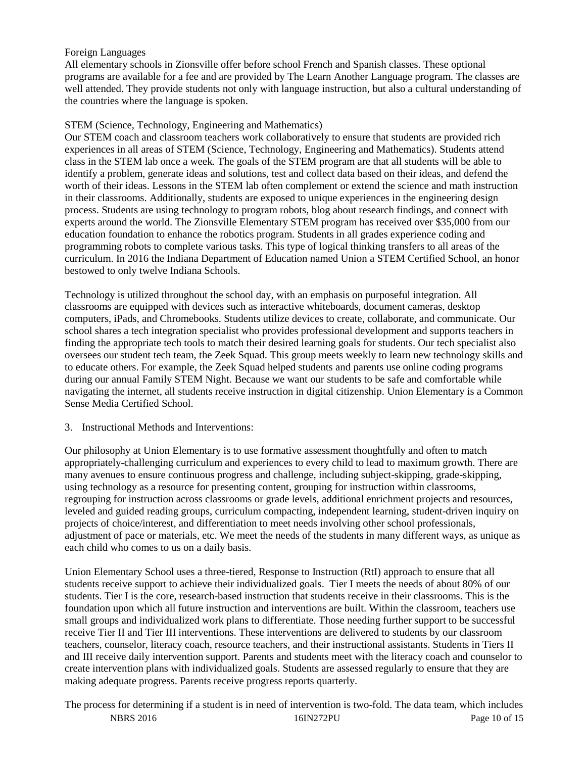## Foreign Languages

All elementary schools in Zionsville offer before school French and Spanish classes. These optional programs are available for a fee and are provided by The Learn Another Language program. The classes are well attended. They provide students not only with language instruction, but also a cultural understanding of the countries where the language is spoken.

## STEM (Science, Technology, Engineering and Mathematics)

Our STEM coach and classroom teachers work collaboratively to ensure that students are provided rich experiences in all areas of STEM (Science, Technology, Engineering and Mathematics). Students attend class in the STEM lab once a week. The goals of the STEM program are that all students will be able to identify a problem, generate ideas and solutions, test and collect data based on their ideas, and defend the worth of their ideas. Lessons in the STEM lab often complement or extend the science and math instruction in their classrooms. Additionally, students are exposed to unique experiences in the engineering design process. Students are using technology to program robots, blog about research findings, and connect with experts around the world. The Zionsville Elementary STEM program has received over \$35,000 from our education foundation to enhance the robotics program. Students in all grades experience coding and programming robots to complete various tasks. This type of logical thinking transfers to all areas of the curriculum. In 2016 the Indiana Department of Education named Union a STEM Certified School, an honor bestowed to only twelve Indiana Schools.

Technology is utilized throughout the school day, with an emphasis on purposeful integration. All classrooms are equipped with devices such as interactive whiteboards, document cameras, desktop computers, iPads, and Chromebooks. Students utilize devices to create, collaborate, and communicate. Our school shares a tech integration specialist who provides professional development and supports teachers in finding the appropriate tech tools to match their desired learning goals for students. Our tech specialist also oversees our student tech team, the Zeek Squad. This group meets weekly to learn new technology skills and to educate others. For example, the Zeek Squad helped students and parents use online coding programs during our annual Family STEM Night. Because we want our students to be safe and comfortable while navigating the internet, all students receive instruction in digital citizenship. Union Elementary is a Common Sense Media Certified School.

## 3. Instructional Methods and Interventions:

Our philosophy at Union Elementary is to use formative assessment thoughtfully and often to match appropriately-challenging curriculum and experiences to every child to lead to maximum growth. There are many avenues to ensure continuous progress and challenge, including subject-skipping, grade-skipping, using technology as a resource for presenting content, grouping for instruction within classrooms, regrouping for instruction across classrooms or grade levels, additional enrichment projects and resources, leveled and guided reading groups, curriculum compacting, independent learning, student-driven inquiry on projects of choice/interest, and differentiation to meet needs involving other school professionals, adjustment of pace or materials, etc. We meet the needs of the students in many different ways, as unique as each child who comes to us on a daily basis.

Union Elementary School uses a three-tiered, Response to Instruction (RtI) approach to ensure that all students receive support to achieve their individualized goals. Tier I meets the needs of about 80% of our students. Tier I is the core, research-based instruction that students receive in their classrooms. This is the foundation upon which all future instruction and interventions are built. Within the classroom, teachers use small groups and individualized work plans to differentiate. Those needing further support to be successful receive Tier II and Tier III interventions. These interventions are delivered to students by our classroom teachers, counselor, literacy coach, resource teachers, and their instructional assistants. Students in Tiers II and III receive daily intervention support. Parents and students meet with the literacy coach and counselor to create intervention plans with individualized goals. Students are assessed regularly to ensure that they are making adequate progress. Parents receive progress reports quarterly.

NBRS 2016 16IN272PU Page 10 of 15 The process for determining if a student is in need of intervention is two-fold. The data team, which includes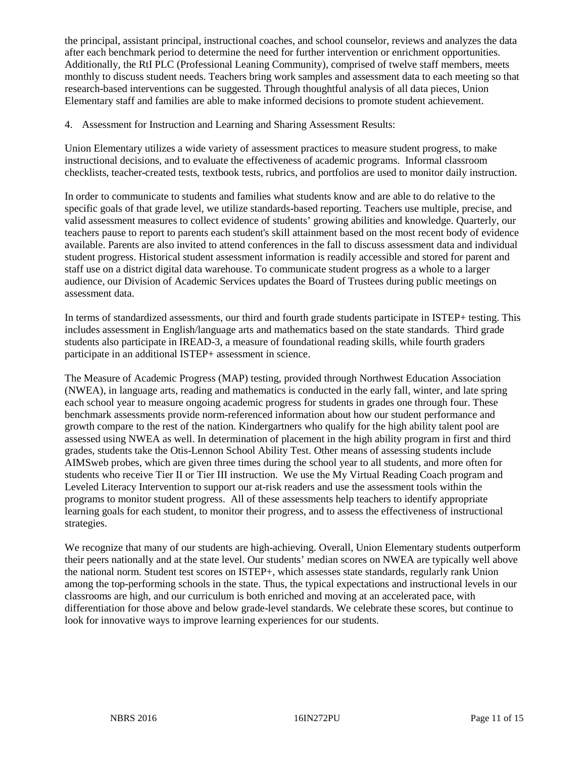the principal, assistant principal, instructional coaches, and school counselor, reviews and analyzes the data after each benchmark period to determine the need for further intervention or enrichment opportunities. Additionally, the RtI PLC (Professional Leaning Community), comprised of twelve staff members, meets monthly to discuss student needs. Teachers bring work samples and assessment data to each meeting so that research-based interventions can be suggested. Through thoughtful analysis of all data pieces, Union Elementary staff and families are able to make informed decisions to promote student achievement.

4. Assessment for Instruction and Learning and Sharing Assessment Results:

Union Elementary utilizes a wide variety of assessment practices to measure student progress, to make instructional decisions, and to evaluate the effectiveness of academic programs. Informal classroom checklists, teacher-created tests, textbook tests, rubrics, and portfolios are used to monitor daily instruction.

In order to communicate to students and families what students know and are able to do relative to the specific goals of that grade level, we utilize standards-based reporting. Teachers use multiple, precise, and valid assessment measures to collect evidence of students' growing abilities and knowledge. Quarterly, our teachers pause to report to parents each student's skill attainment based on the most recent body of evidence available. Parents are also invited to attend conferences in the fall to discuss assessment data and individual student progress. Historical student assessment information is readily accessible and stored for parent and staff use on a district digital data warehouse. To communicate student progress as a whole to a larger audience, our Division of Academic Services updates the Board of Trustees during public meetings on assessment data.

In terms of standardized assessments, our third and fourth grade students participate in ISTEP+ testing. This includes assessment in English/language arts and mathematics based on the state standards. Third grade students also participate in IREAD-3, a measure of foundational reading skills, while fourth graders participate in an additional ISTEP+ assessment in science.

The Measure of Academic Progress (MAP) testing, provided through Northwest Education Association (NWEA), in language arts, reading and mathematics is conducted in the early fall, winter, and late spring each school year to measure ongoing academic progress for students in grades one through four. These benchmark assessments provide norm-referenced information about how our student performance and growth compare to the rest of the nation. Kindergartners who qualify for the high ability talent pool are assessed using NWEA as well. In determination of placement in the high ability program in first and third grades, students take the Otis-Lennon School Ability Test. Other means of assessing students include AIMSweb probes, which are given three times during the school year to all students, and more often for students who receive Tier II or Tier III instruction. We use the My Virtual Reading Coach program and Leveled Literacy Intervention to support our at-risk readers and use the assessment tools within the programs to monitor student progress. All of these assessments help teachers to identify appropriate learning goals for each student, to monitor their progress, and to assess the effectiveness of instructional strategies.

We recognize that many of our students are high-achieving. Overall, Union Elementary students outperform their peers nationally and at the state level. Our students' median scores on NWEA are typically well above the national norm. Student test scores on ISTEP+, which assesses state standards, regularly rank Union among the top-performing schools in the state. Thus, the typical expectations and instructional levels in our classrooms are high, and our curriculum is both enriched and moving at an accelerated pace, with differentiation for those above and below grade-level standards. We celebrate these scores, but continue to look for innovative ways to improve learning experiences for our students.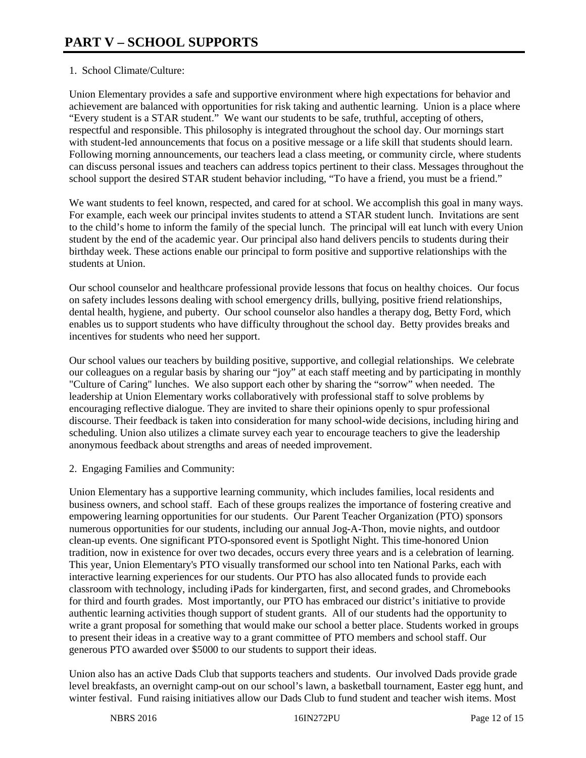# 1. School Climate/Culture:

Union Elementary provides a safe and supportive environment where high expectations for behavior and achievement are balanced with opportunities for risk taking and authentic learning. Union is a place where "Every student is a STAR student." We want our students to be safe, truthful, accepting of others, respectful and responsible. This philosophy is integrated throughout the school day. Our mornings start with student-led announcements that focus on a positive message or a life skill that students should learn. Following morning announcements, our teachers lead a class meeting, or community circle, where students can discuss personal issues and teachers can address topics pertinent to their class. Messages throughout the school support the desired STAR student behavior including, "To have a friend, you must be a friend."

We want students to feel known, respected, and cared for at school. We accomplish this goal in many ways. For example, each week our principal invites students to attend a STAR student lunch. Invitations are sent to the child's home to inform the family of the special lunch. The principal will eat lunch with every Union student by the end of the academic year. Our principal also hand delivers pencils to students during their birthday week. These actions enable our principal to form positive and supportive relationships with the students at Union.

Our school counselor and healthcare professional provide lessons that focus on healthy choices. Our focus on safety includes lessons dealing with school emergency drills, bullying, positive friend relationships, dental health, hygiene, and puberty. Our school counselor also handles a therapy dog, Betty Ford, which enables us to support students who have difficulty throughout the school day. Betty provides breaks and incentives for students who need her support.

Our school values our teachers by building positive, supportive, and collegial relationships. We celebrate our colleagues on a regular basis by sharing our "joy" at each staff meeting and by participating in monthly "Culture of Caring" lunches. We also support each other by sharing the "sorrow" when needed. The leadership at Union Elementary works collaboratively with professional staff to solve problems by encouraging reflective dialogue. They are invited to share their opinions openly to spur professional discourse. Their feedback is taken into consideration for many school-wide decisions, including hiring and scheduling. Union also utilizes a climate survey each year to encourage teachers to give the leadership anonymous feedback about strengths and areas of needed improvement.

2. Engaging Families and Community:

Union Elementary has a supportive learning community, which includes families, local residents and business owners, and school staff. Each of these groups realizes the importance of fostering creative and empowering learning opportunities for our students. Our Parent Teacher Organization (PTO) sponsors numerous opportunities for our students, including our annual Jog-A-Thon, movie nights, and outdoor clean-up events. One significant PTO-sponsored event is Spotlight Night. This time-honored Union tradition, now in existence for over two decades, occurs every three years and is a celebration of learning. This year, Union Elementary's PTO visually transformed our school into ten National Parks, each with interactive learning experiences for our students. Our PTO has also allocated funds to provide each classroom with technology, including iPads for kindergarten, first, and second grades, and Chromebooks for third and fourth grades. Most importantly, our PTO has embraced our district's initiative to provide authentic learning activities though support of student grants. All of our students had the opportunity to write a grant proposal for something that would make our school a better place. Students worked in groups to present their ideas in a creative way to a grant committee of PTO members and school staff. Our generous PTO awarded over \$5000 to our students to support their ideas.

Union also has an active Dads Club that supports teachers and students. Our involved Dads provide grade level breakfasts, an overnight camp-out on our school's lawn, a basketball tournament, Easter egg hunt, and winter festival. Fund raising initiatives allow our Dads Club to fund student and teacher wish items. Most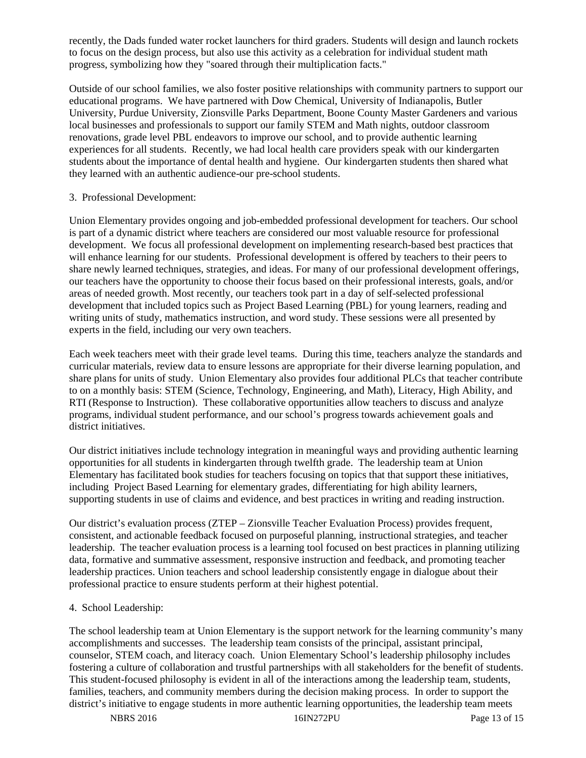recently, the Dads funded water rocket launchers for third graders. Students will design and launch rockets to focus on the design process, but also use this activity as a celebration for individual student math progress, symbolizing how they "soared through their multiplication facts."

Outside of our school families, we also foster positive relationships with community partners to support our educational programs. We have partnered with Dow Chemical, University of Indianapolis, Butler University, Purdue University, Zionsville Parks Department, Boone County Master Gardeners and various local businesses and professionals to support our family STEM and Math nights, outdoor classroom renovations, grade level PBL endeavors to improve our school, and to provide authentic learning experiences for all students. Recently, we had local health care providers speak with our kindergarten students about the importance of dental health and hygiene. Our kindergarten students then shared what they learned with an authentic audience-our pre-school students.

## 3. Professional Development:

Union Elementary provides ongoing and job-embedded professional development for teachers. Our school is part of a dynamic district where teachers are considered our most valuable resource for professional development. We focus all professional development on implementing research-based best practices that will enhance learning for our students. Professional development is offered by teachers to their peers to share newly learned techniques, strategies, and ideas. For many of our professional development offerings, our teachers have the opportunity to choose their focus based on their professional interests, goals, and/or areas of needed growth. Most recently, our teachers took part in a day of self-selected professional development that included topics such as Project Based Learning (PBL) for young learners, reading and writing units of study, mathematics instruction, and word study. These sessions were all presented by experts in the field, including our very own teachers.

Each week teachers meet with their grade level teams. During this time, teachers analyze the standards and curricular materials, review data to ensure lessons are appropriate for their diverse learning population, and share plans for units of study. Union Elementary also provides four additional PLCs that teacher contribute to on a monthly basis: STEM (Science, Technology, Engineering, and Math), Literacy, High Ability, and RTI (Response to Instruction). These collaborative opportunities allow teachers to discuss and analyze programs, individual student performance, and our school's progress towards achievement goals and district initiatives.

Our district initiatives include technology integration in meaningful ways and providing authentic learning opportunities for all students in kindergarten through twelfth grade. The leadership team at Union Elementary has facilitated book studies for teachers focusing on topics that that support these initiatives, including Project Based Learning for elementary grades, differentiating for high ability learners, supporting students in use of claims and evidence, and best practices in writing and reading instruction.

Our district's evaluation process (ZTEP – Zionsville Teacher Evaluation Process) provides frequent, consistent, and actionable feedback focused on purposeful planning, instructional strategies, and teacher leadership. The teacher evaluation process is a learning tool focused on best practices in planning utilizing data, formative and summative assessment, responsive instruction and feedback, and promoting teacher leadership practices. Union teachers and school leadership consistently engage in dialogue about their professional practice to ensure students perform at their highest potential.

## 4. School Leadership:

The school leadership team at Union Elementary is the support network for the learning community's many accomplishments and successes. The leadership team consists of the principal, assistant principal, counselor, STEM coach, and literacy coach. Union Elementary School's leadership philosophy includes fostering a culture of collaboration and trustful partnerships with all stakeholders for the benefit of students. This student-focused philosophy is evident in all of the interactions among the leadership team, students, families, teachers, and community members during the decision making process. In order to support the district's initiative to engage students in more authentic learning opportunities, the leadership team meets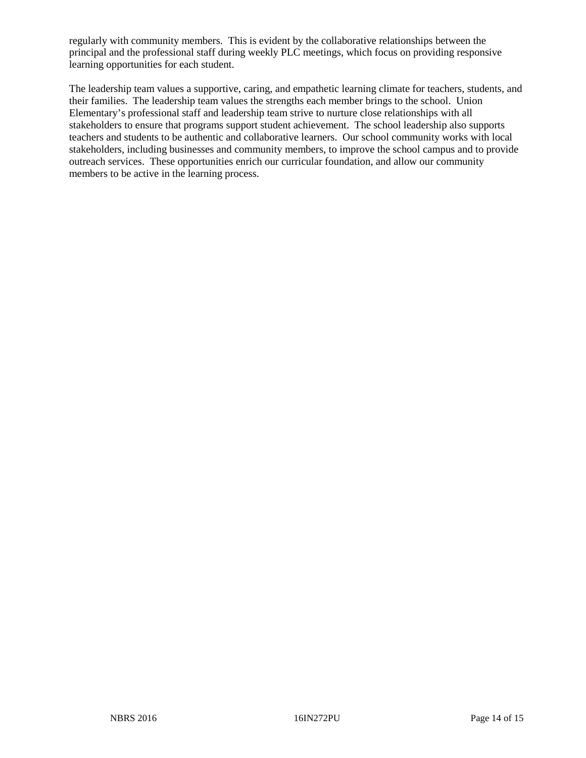regularly with community members. This is evident by the collaborative relationships between the principal and the professional staff during weekly PLC meetings, which focus on providing responsive learning opportunities for each student.

The leadership team values a supportive, caring, and empathetic learning climate for teachers, students, and their families. The leadership team values the strengths each member brings to the school. Union Elementary's professional staff and leadership team strive to nurture close relationships with all stakeholders to ensure that programs support student achievement. The school leadership also supports teachers and students to be authentic and collaborative learners. Our school community works with local stakeholders, including businesses and community members, to improve the school campus and to provide outreach services. These opportunities enrich our curricular foundation, and allow our community members to be active in the learning process.